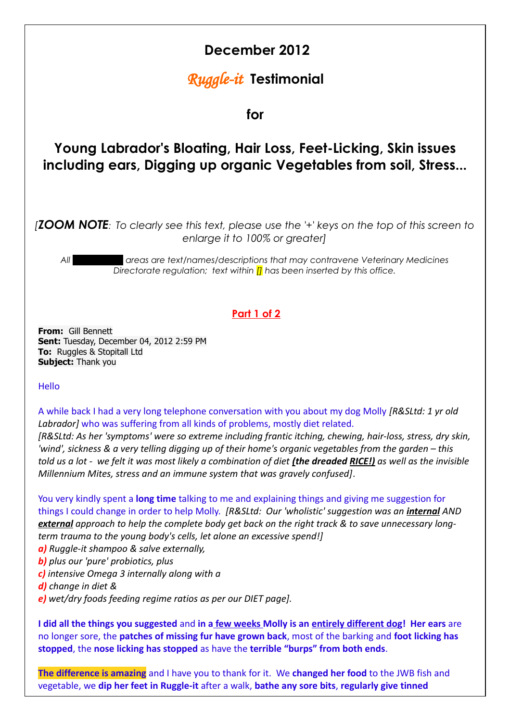

**I did all the things you suggested** and **in a few weeks Molly is an entirely different dog! Her ears** are no longer sore, the **patches of missing fur have grown back**, most of the barking and **foot licking has stopped**, the **nose licking has stopped** as have the **terrible "burps" from both ends**.

**The difference is amazing** and I have you to thank for it. We **changed her food** to the JWB fish and vegetable, we **dip her feet in Ruggle-it** after a walk, **bathe any sore bits**, **regularly give tinned**